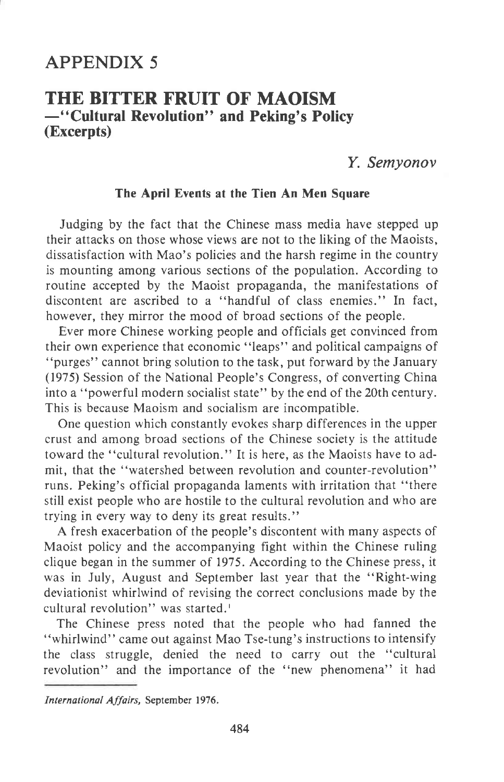# APPENDIX <sup>5</sup>

## THE BITTER FRUIT OF MAOISM -"Cultural Revolution" and Peking's Policy (Excerpts)

### Y. Semyonov

#### The April Events at the Tien An Men Square

Judging by the fact that the Chinese mass media have stepped up their attacks on those whose views are not to the liking of the Maoists, dissatisfaction with Mao's policies and the harsh regime in the country is mounting among various sections of the population. According to routine accepted by the Maoist propaganda, the manifestations of discontent are ascribed to a "handful of class enemies." In fact, however, they mirror the mood of broad sections of the people,

Ever more Chinese working people and officials get convinced from their own experience that economic "leaps" and political campaigns of ''purges' ' cannot bring solution to the task, put forward by the January (1975) Session of the National People's Congress, of converting China into a "powerful modern socialist state" by the end of the 20th century. This is because Maoism and socialism are incompatible.

One question which constantly evokes sharp differences in the upper crust and among broad sections of the Chinese society is the attitude toward the "cultural revolution." It is here, as the Maoists have to admit, that the "watershed between revolution and counter-revolution" runs. Peking's official propaganda laments with irritation that "there still exist people who are hostile to the cultural revolution and who are trying in every way to deny its great results."

A fresh exacerbation of the people's discontent with many aspects of Maoist policy and the accompanying fight within the Chinese ruling clique began in the summer of 1975. According to the Chinese press, it was in July, August and September last year that the "Right-wing deviationist whirlwind of revising the correct conclusions made by the cultural revolution" was started.'

The Chinese press noted that the people who had fanned the "whirlwind" came out against Mao Tse-tung's instructions to intensify the class struggle, denied the need to carry out the "cultural revolution" and the importance of the "new phenomena" it had

International Affairs, September 1976.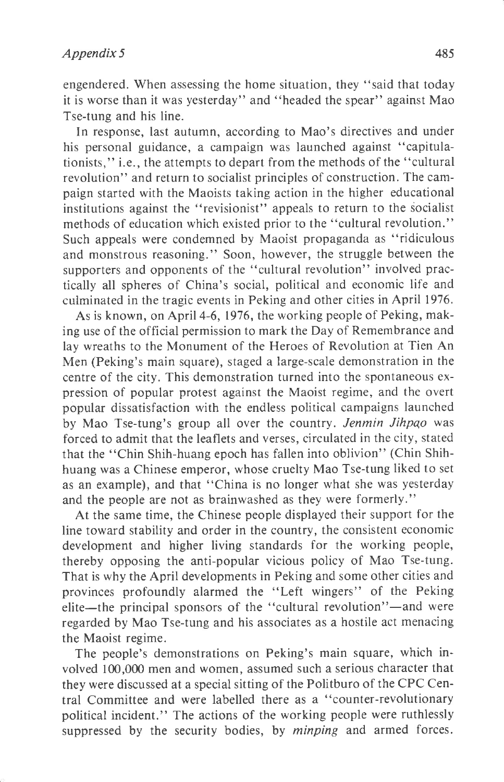engendered. When assessing the home situation, they "said that today it is worse than it was yesterday" and "headed the spear" against Mao Tse-tung and his line.

In response, last autumn, according to Mao's directives and under his personal guidance, a campaign was launched against "capitulationists," i.e., the attempts to depart from the methods of the "cultural revolution" and return to socialist principles of construction. The campaign started with the Maoists taking action in the higher educational institutions against the "revisionist" appeals to return to the socialist methods of education which existed prior to the "cultural revolution." Such appeals were condemned by Maoist propaganda as "ridiculous and monstrous reasoning." Soon, however, the struggle between the supporters and opponents of the "cultural revolution" involved practically all spheres of China's social, political and economic life and culminated in the tragic events in Peking and other cities in April 1976.

As is known, on April 4-6, 1976, the working people of Peking, making use of the official permission to mark the Day of Remembrance and lay wreaths to the Monument of the Heroes of Revolution at Tien An Men (Peking's main square), staged a large-scale demonstration in the centre of the city. This demonstration turned into the spontaneous expression of popular protest against the Maoist regime, and the overt popular dissatisfaction with the endless political campaigns launched by Mao Tse-tung's group all over the country. Jenmin Jihpao was forced to admit that the leaflets and verses, circulated in the city, stated that the "Chin Shih-huang epoch has fallen into oblivion" (Chin Shihhuang was a Chinese emperor, whose cruelty Mao Tse-tung liked to set as an example), and that "China is no longer what she was yesterday and the people are not as brainwashed as they were formerly."

At the same time, the Chinese people displayed their support for the line toward stability and order in the country, the consistent economic development and higher living standards for the working people, thereby opposing the anti-popular vicious policy of Mao Tse-tung. That is why the April developments in Peking and some other cities and provinces profoundly alarmed the "Left wingers" of the Peking elite-the principal sponsors of the "cultural revolution"-and were regarded by Mao Tse-tung and his associates as a hostile act menacing the Maoist regime.

The people's demonstrations on Peking's main square, which involved 100,000 men and women, assumed such a serious character that they were discussed at a special sitting of the Politburo of the CPC Central Committee and were labelled there as a "counter-revolutionary political incident." The actions of the working people were ruthlessly suppressed by the security bodies, by minping and armed forces.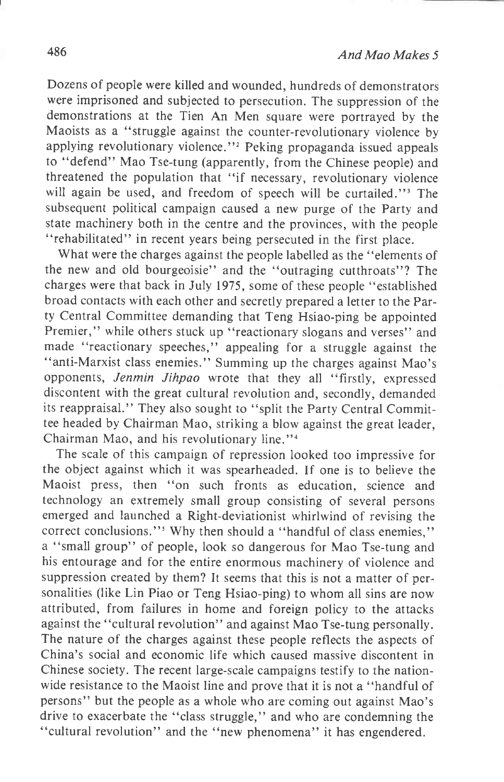Dozens of people were killed and wounded, hundreds of demonstrators were imprisoned and subjected to persecution. The suppression of the demonstrations at the Tien An Men square were portrayed by the Maoists as a "struggle against the counter-revolutionary violence by applying revolutionary violence."<sup>2</sup> Peking propaganda issued appeals to "defend" Mao Tse-tung (apparently, from the Chinese people) and threatened the population that "if necessary, revolutionary violence will again be used, and freedom of speech will be curtailed."<sup>3</sup> The subsequent political campaign caused a new purge of the Party and state machinery both in the centre and the provinces, with the people "rehabilitated" in recent years being persecuted in the first place.

What were the charges against the people labelled as the "elements of the new and old bourgeoisie" and the "outraging cutthroats"? The charges were that back in July 1975, some of these people "established broad contacts with each other and secretly prepared a letter to the Party Central Committee demanding that Teng Hsiao-ping be appointed Premier," while others stuck up "reactionary slogans and verses" and made "reactionary speeches," appealing for a struggle against the "anti-Marxist class enemies." Summing up the charges against Mao's opponents, Jenmin Jihpao wrote that they all "firstly, expressed discontent with the great cultural revolution and, secondly, demanded its reappraisal." They also sought to "split the Party Central Committee headed by Chairman Mao, striking a blow against the great leader, Chairman Mao, and his revolutionary line."<sup>4</sup>

The scale of this campaign of repression looked too impressive for the object against which it was spearheaded. If one is to believe the Maoist press, then "on such fronts as education, science and technology an extremely small group consisting of several persons emerged and launched a Right-deviationist whirlwind of revising the correct conclusions."<sup>5</sup> Why then should a "handful of class enemies," a "small group" of people, look so dangerous for Mao Tse-tung and his entourage and for the entire enormous machinery of violence and suppression created by them? It seems that this is not a matter of personalities (like Lin Piao or Teng Hsiao-ping) to whom all sins are now attributed, from failures in home and foreign policy to the attacks against the "cultural revolution" and against Mao Tse-tung personally. The nature of the charges against these people reflects the aspects of China's social and economic life which caused massive discontent in Chinese society. The recent large-scale campaigns testify to the nationwide resistance to the Maoist line and prove that it is not a "handful of persons" but the people as a whole who are coming out against Mao's drive to exacerbate the "class struggle," and who are condemning the "cultural revolution" and the "new phenomena" it has engendered.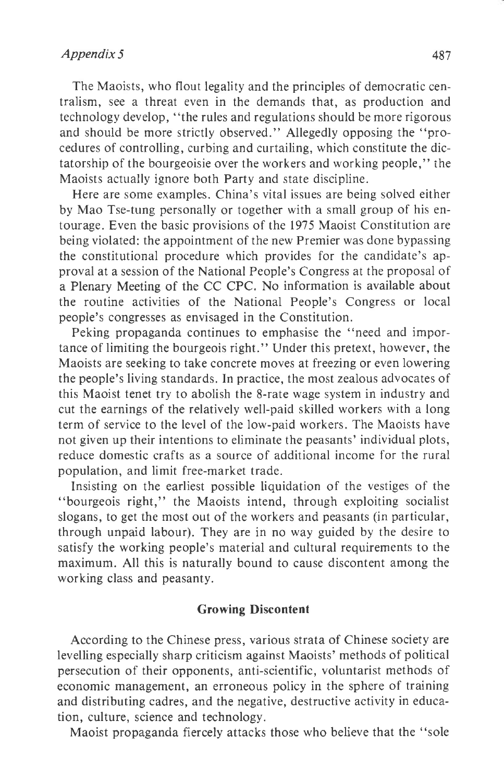The Maoists, who flout legality and the principles of democratic centralism, see a threat even in the demands that, as production and technology develop, "the rules and regulations should be more rigorous and should be more strictly observed." Allegedly opposing the "procedures of controlling, curbing and curtailing, which constitute the dictatorship of the bourgeoisie over the workers and working people," the Maoists actually ignore both Party and state discipline.

Here are some examples. China's vital issues are being solved either by Mao Tse-tung personally or together with a small group of his entourage. Even the basic provisions of the 1975 Maoist Constitution are being violated: the appointment of the new Premier was done bypassing the constitutional procedure which provides for the candidate's approval at a session of the National People's Congress at the proposal of a Plenary Meeting of the CC CPC. No information is available about the routine activities of the National People's Congress or local people's congresses as envisaged in the Constitution.

Peking propaganda continues to emphasise the "need and importance of limiting the bourgeois right." Under this pretext, however, the Maoists are seeking to take concrete moves at freezing or even lowering the people's living standards. In practice, the most zealous advocates of this Maoist tenet try to abolish the 8-rate wage system in industry and cut the earnings of the relatively well-paid skilled workers with a long term of service to the level of the low-paid workers. The Maoists have not given up their intentions to eliminate the peasants' individual plots, reduce domestic crafts as a source of additional income for the rural population, and limit free-market trade.

Insisting on the earliest possible liquidation of the vestiges of the "bourgeois right," the Maoists intend, through exploiting socialist slogans, to get the most out of the workers and peasants (in particular, through unpaid labour). They are in no way guided by the desire to satisfy the working people's material and cultural requirements to the maximum. All this is naturally bound to cause discontent among the working class and peasanty.

#### Growing Discontent

According to the Chinese press, various strata of Chinese society are levelling especially sharp criticism against Maoists' methods of political persecution of their opponents, anti-scientific, voluntarist methods of economic management, an erroneous policy in the sphere of training and distributing cadres, and the negative, destructive activity in education, culture, science and technology.

Maoist propaganda fiercely attacks those who believe that the "sole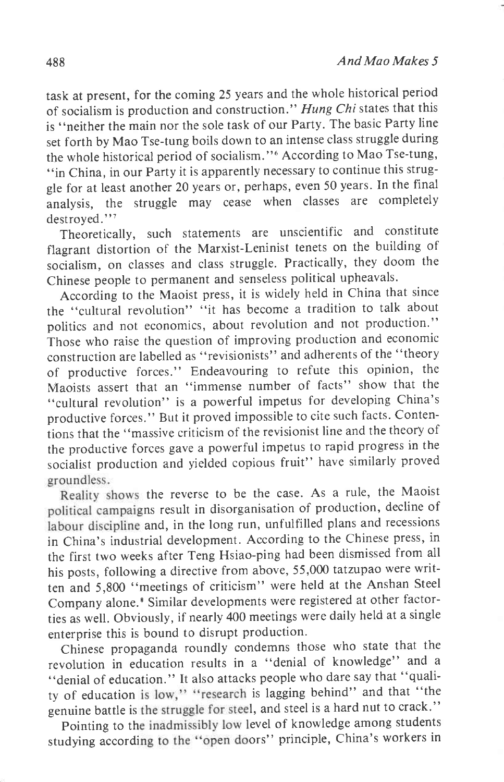task at present, for the coming 25 years and the whole historical period of socialism is production and construction." Hung Chi states that this is "neither the main nor the sole task of our Party. The basic Party line set forth by Mao Tse-tung boils down to an intense class struggle during the whole historical period of socialism."<sup>6</sup> According to Mao Tse-tung, "in China, in our Party it is apparently necessary to continue this struggle for at least another 20 years or, perhaps, even 50 years. In the final analysis, the struggle may cease when classes are completely destroyed. "'

Theoretically, such statements are unscientific and constitute flagrant distortion of the Marxist-Leninist tenets on the building of socialism, on classes and class struggle. Practically, they doom the Chinese people to permanent and senseless political upheavals.

According to the Maoist press, it is widely held in China that since the "cultural revolution" "it has become a tradition to talk about politics and not economics, about revolution and not production." Those who raise the question of improving production and economic construction are labelled as "revisionists" and adherents of the "theory of productive forces." Endeavouring to refute this opinion, the Maoists assert that an "immense number of facts" show that the "cultural revolution" is a powerful impetus for developing China's productive forces." But it proved impossible to cite such facts. Contentions that the "massive criticism of the revisionist line and the theory of the productive forces gave a powerful impetus to rapid progress in the socialist production and yielded copious fruit" have similarly proved groundless.

Reality shows the reverse to be the case. As a rule, the Maoist political campaigns result in disorganisation of production, decline of labour discipline and, in the long run, unfulfilled plans and recessions in China's industrial development. According to the Chinese press, in the first two weeks after Teng Hsiao-ping had been dismissed from all his posts, following a directive from above, 55,000 tatzupao were written and 5,800 "meetings of criticism" were held at the Anshan Steel Company alone.<sup>8</sup> Similar developments were registered at other factorties as well. obviously, if nearly 400 meetings were daily held at a single enterprise this is bound to disrupt production.

Chinese propaganda roundly condemns those who state that the revolution in education results in a "denial of knowledge" and <sup>a</sup> "denial of education." It also attacks people who dare say that "quality of education is low," "research is lagging behind" and that "the genuine battle is the struggle for steel, and steel is a hard nut to crack."

Pointing to the inadmissibly low level of knowledge among students studying according to the "open doors" principle, China's workers in